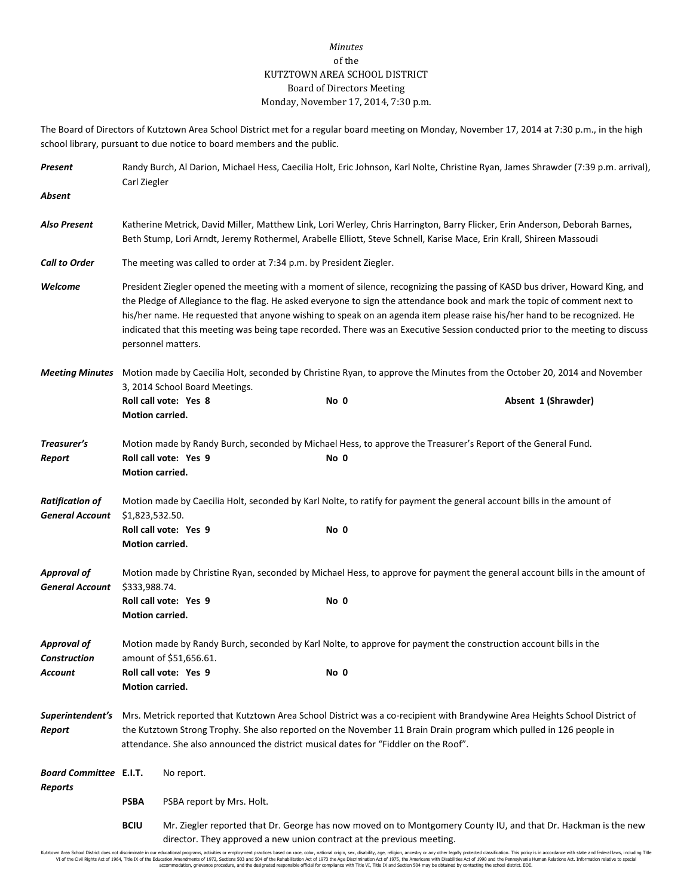## *Minutes* of the KUTZTOWN AREA SCHOOL DISTRICT Board of Directors Meeting Monday, November 17, 2014, 7:30 p.m.

The Board of Directors of Kutztown Area School District met for a regular board meeting on Monday, November 17, 2014 at 7:30 p.m., in the high school library, pursuant to due notice to board members and the public.

| Present                                          | Randy Burch, Al Darion, Michael Hess, Caecilia Holt, Eric Johnson, Karl Nolte, Christine Ryan, James Shrawder (7:39 p.m. arrival),<br>Carl Ziegler                                                                                                                                                                                                                                                                                                                                                                                          |                                                                                                                                                                                         |      |                                                                                                              |  |  |
|--------------------------------------------------|---------------------------------------------------------------------------------------------------------------------------------------------------------------------------------------------------------------------------------------------------------------------------------------------------------------------------------------------------------------------------------------------------------------------------------------------------------------------------------------------------------------------------------------------|-----------------------------------------------------------------------------------------------------------------------------------------------------------------------------------------|------|--------------------------------------------------------------------------------------------------------------|--|--|
| Absent                                           |                                                                                                                                                                                                                                                                                                                                                                                                                                                                                                                                             |                                                                                                                                                                                         |      |                                                                                                              |  |  |
| <b>Also Present</b>                              | Katherine Metrick, David Miller, Matthew Link, Lori Werley, Chris Harrington, Barry Flicker, Erin Anderson, Deborah Barnes,<br>Beth Stump, Lori Arndt, Jeremy Rothermel, Arabelle Elliott, Steve Schnell, Karise Mace, Erin Krall, Shireen Massoudi                                                                                                                                                                                                                                                                                         |                                                                                                                                                                                         |      |                                                                                                              |  |  |
| <b>Call to Order</b>                             | The meeting was called to order at 7:34 p.m. by President Ziegler.                                                                                                                                                                                                                                                                                                                                                                                                                                                                          |                                                                                                                                                                                         |      |                                                                                                              |  |  |
| Welcome                                          | President Ziegler opened the meeting with a moment of silence, recognizing the passing of KASD bus driver, Howard King, and<br>the Pledge of Allegiance to the flag. He asked everyone to sign the attendance book and mark the topic of comment next to<br>his/her name. He requested that anyone wishing to speak on an agenda item please raise his/her hand to be recognized. He<br>indicated that this meeting was being tape recorded. There was an Executive Session conducted prior to the meeting to discuss<br>personnel matters. |                                                                                                                                                                                         |      |                                                                                                              |  |  |
| <b>Meeting Minutes</b>                           | Motion made by Caecilia Holt, seconded by Christine Ryan, to approve the Minutes from the October 20, 2014 and November<br>3, 2014 School Board Meetings.                                                                                                                                                                                                                                                                                                                                                                                   |                                                                                                                                                                                         |      |                                                                                                              |  |  |
|                                                  | Motion carried.                                                                                                                                                                                                                                                                                                                                                                                                                                                                                                                             | Roll call vote: Yes 8                                                                                                                                                                   | No 0 | Absent 1 (Shrawder)                                                                                          |  |  |
| Treasurer's                                      |                                                                                                                                                                                                                                                                                                                                                                                                                                                                                                                                             |                                                                                                                                                                                         |      | Motion made by Randy Burch, seconded by Michael Hess, to approve the Treasurer's Report of the General Fund. |  |  |
| Report                                           | Motion carried.                                                                                                                                                                                                                                                                                                                                                                                                                                                                                                                             | Roll call vote: Yes 9                                                                                                                                                                   | No 0 |                                                                                                              |  |  |
| <b>Ratification of</b><br><b>General Account</b> | \$1,823,532.50.                                                                                                                                                                                                                                                                                                                                                                                                                                                                                                                             | Motion made by Caecilia Holt, seconded by Karl Nolte, to ratify for payment the general account bills in the amount of                                                                  |      |                                                                                                              |  |  |
|                                                  | Motion carried.                                                                                                                                                                                                                                                                                                                                                                                                                                                                                                                             | Roll call vote: Yes 9                                                                                                                                                                   | No 0 |                                                                                                              |  |  |
| <b>Approval of</b><br><b>General Account</b>     | Motion made by Christine Ryan, seconded by Michael Hess, to approve for payment the general account bills in the amount of<br>\$333,988.74.                                                                                                                                                                                                                                                                                                                                                                                                 |                                                                                                                                                                                         |      |                                                                                                              |  |  |
|                                                  | Motion carried.                                                                                                                                                                                                                                                                                                                                                                                                                                                                                                                             | Roll call vote: Yes 9                                                                                                                                                                   | No 0 |                                                                                                              |  |  |
| <b>Approval of</b><br><b>Construction</b>        | Motion made by Randy Burch, seconded by Karl Nolte, to approve for payment the construction account bills in the<br>amount of \$51,656.61.                                                                                                                                                                                                                                                                                                                                                                                                  |                                                                                                                                                                                         |      |                                                                                                              |  |  |
| <b>Account</b>                                   | Roll call vote: Yes 9<br>Motion carried.                                                                                                                                                                                                                                                                                                                                                                                                                                                                                                    |                                                                                                                                                                                         | No 0 |                                                                                                              |  |  |
| Superintendent's<br>Report                       | Mrs. Metrick reported that Kutztown Area School District was a co-recipient with Brandywine Area Heights School District of<br>the Kutztown Strong Trophy. She also reported on the November 11 Brain Drain program which pulled in 126 people in<br>attendance. She also announced the district musical dates for "Fiddler on the Roof".                                                                                                                                                                                                   |                                                                                                                                                                                         |      |                                                                                                              |  |  |
| <b>Board Committee E.I.T.</b><br>Reports         |                                                                                                                                                                                                                                                                                                                                                                                                                                                                                                                                             | No report.                                                                                                                                                                              |      |                                                                                                              |  |  |
|                                                  | <b>PSBA</b>                                                                                                                                                                                                                                                                                                                                                                                                                                                                                                                                 | PSBA report by Mrs. Holt.                                                                                                                                                               |      |                                                                                                              |  |  |
|                                                  | <b>BCIU</b>                                                                                                                                                                                                                                                                                                                                                                                                                                                                                                                                 | Mr. Ziegler reported that Dr. George has now moved on to Montgomery County IU, and that Dr. Hackman is the new<br>director. They approved a new union contract at the previous meeting. |      |                                                                                                              |  |  |

Kutztown Area School District does not discriminate in our educational programs, activities or employment practices based on race, color, national origin, sex, disability, age, religion, ancestry or any other legally prot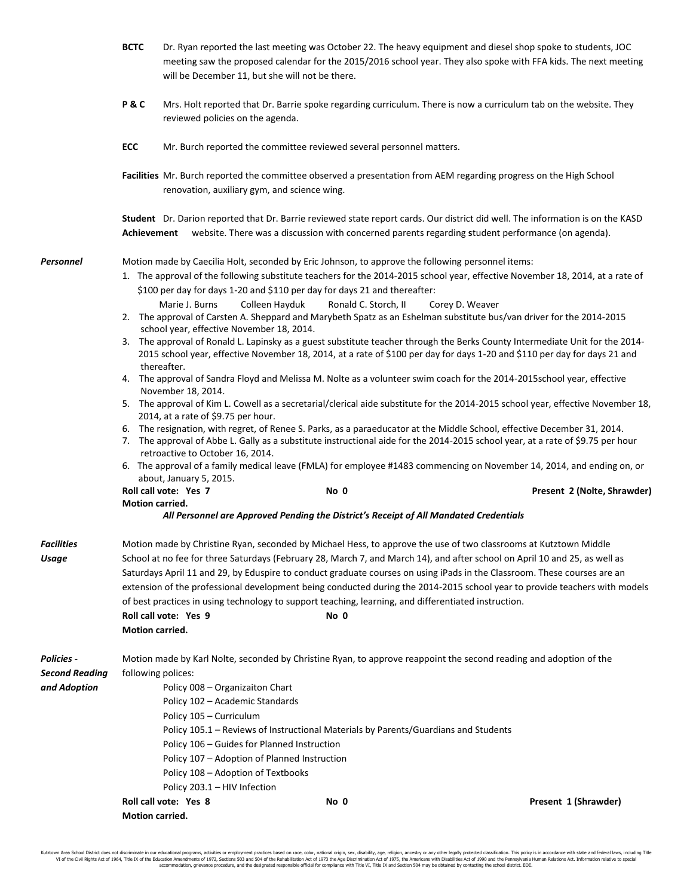|                                                            | <b>BCTC</b>                                                                                                                                                                                                                                                                                                                                                                                                                                                                                                                                                                                                                                                                                                                                                                                                                                                                                                                                                                                     | Dr. Ryan reported the last meeting was October 22. The heavy equipment and diesel shop spoke to students, JOC<br>meeting saw the proposed calendar for the 2015/2016 school year. They also spoke with FFA kids. The next meeting<br>will be December 11, but she will not be there. |                                                                                                                                                                                            |                                                                                                                                            |  |  |  |
|------------------------------------------------------------|-------------------------------------------------------------------------------------------------------------------------------------------------------------------------------------------------------------------------------------------------------------------------------------------------------------------------------------------------------------------------------------------------------------------------------------------------------------------------------------------------------------------------------------------------------------------------------------------------------------------------------------------------------------------------------------------------------------------------------------------------------------------------------------------------------------------------------------------------------------------------------------------------------------------------------------------------------------------------------------------------|--------------------------------------------------------------------------------------------------------------------------------------------------------------------------------------------------------------------------------------------------------------------------------------|--------------------------------------------------------------------------------------------------------------------------------------------------------------------------------------------|--------------------------------------------------------------------------------------------------------------------------------------------|--|--|--|
|                                                            | P&C                                                                                                                                                                                                                                                                                                                                                                                                                                                                                                                                                                                                                                                                                                                                                                                                                                                                                                                                                                                             | Mrs. Holt reported that Dr. Barrie spoke regarding curriculum. There is now a curriculum tab on the website. They<br>reviewed policies on the agenda.                                                                                                                                |                                                                                                                                                                                            |                                                                                                                                            |  |  |  |
|                                                            | <b>ECC</b>                                                                                                                                                                                                                                                                                                                                                                                                                                                                                                                                                                                                                                                                                                                                                                                                                                                                                                                                                                                      |                                                                                                                                                                                                                                                                                      | Mr. Burch reported the committee reviewed several personnel matters.                                                                                                                       |                                                                                                                                            |  |  |  |
|                                                            |                                                                                                                                                                                                                                                                                                                                                                                                                                                                                                                                                                                                                                                                                                                                                                                                                                                                                                                                                                                                 |                                                                                                                                                                                                                                                                                      | renovation, auxiliary gym, and science wing.                                                                                                                                               | Facilities Mr. Burch reported the committee observed a presentation from AEM regarding progress on the High School                         |  |  |  |
|                                                            | Student Dr. Darion reported that Dr. Barrie reviewed state report cards. Our district did well. The information is on the KASD<br>website. There was a discussion with concerned parents regarding student performance (on agenda).<br>Achievement                                                                                                                                                                                                                                                                                                                                                                                                                                                                                                                                                                                                                                                                                                                                              |                                                                                                                                                                                                                                                                                      |                                                                                                                                                                                            |                                                                                                                                            |  |  |  |
| <b>Personnel</b>                                           | Motion made by Caecilia Holt, seconded by Eric Johnson, to approve the following personnel items:<br>1. The approval of the following substitute teachers for the 2014-2015 school year, effective November 18, 2014, at a rate of<br>\$100 per day for days 1-20 and \$110 per day for days 21 and thereafter:<br>Colleen Hayduk<br>Marie J. Burns<br>Ronald C. Storch, II<br>Corey D. Weaver<br>2. The approval of Carsten A. Sheppard and Marybeth Spatz as an Eshelman substitute bus/van driver for the 2014-2015<br>school year, effective November 18, 2014.<br>3. The approval of Ronald L. Lapinsky as a guest substitute teacher through the Berks County Intermediate Unit for the 2014-<br>2015 school year, effective November 18, 2014, at a rate of \$100 per day for days 1-20 and \$110 per day for days 21 and<br>thereafter.<br>4. The approval of Sandra Floyd and Melissa M. Nolte as a volunteer swim coach for the 2014-2015school year, effective<br>November 18, 2014. |                                                                                                                                                                                                                                                                                      |                                                                                                                                                                                            |                                                                                                                                            |  |  |  |
|                                                            | 5. The approval of Kim L. Cowell as a secretarial/clerical aide substitute for the 2014-2015 school year, effective November 18,<br>2014, at a rate of \$9.75 per hour.<br>6. The resignation, with regret, of Renee S. Parks, as a paraeducator at the Middle School, effective December 31, 2014.<br>7. The approval of Abbe L. Gally as a substitute instructional aide for the 2014-2015 school year, at a rate of \$9.75 per hour<br>retroactive to October 16, 2014.<br>6. The approval of a family medical leave (FMLA) for employee #1483 commencing on November 14, 2014, and ending on, or<br>about, January 5, 2015.<br>Roll call vote: Yes 7<br>No 0<br>Present 2 (Nolte, Shrawder)                                                                                                                                                                                                                                                                                                 |                                                                                                                                                                                                                                                                                      |                                                                                                                                                                                            |                                                                                                                                            |  |  |  |
|                                                            | <b>Motion carried.</b>                                                                                                                                                                                                                                                                                                                                                                                                                                                                                                                                                                                                                                                                                                                                                                                                                                                                                                                                                                          |                                                                                                                                                                                                                                                                                      | All Personnel are Approved Pending the District's Receipt of All Mandated Credentials                                                                                                      |                                                                                                                                            |  |  |  |
| <b>Facilities</b><br>Usage                                 | Motion made by Christine Ryan, seconded by Michael Hess, to approve the use of two classrooms at Kutztown Middle<br>School at no fee for three Saturdays (February 28, March 7, and March 14), and after school on April 10 and 25, as well as<br>Saturdays April 11 and 29, by Eduspire to conduct graduate courses on using iPads in the Classroom. These courses are an<br>extension of the professional development being conducted during the 2014-2015 school year to provide teachers with models<br>of best practices in using technology to support teaching, learning, and differentiated instruction.<br>Roll call vote: Yes 9<br>No 0<br>Motion carried.                                                                                                                                                                                                                                                                                                                            |                                                                                                                                                                                                                                                                                      |                                                                                                                                                                                            |                                                                                                                                            |  |  |  |
| <b>Policies -</b><br><b>Second Reading</b><br>and Adoption |                                                                                                                                                                                                                                                                                                                                                                                                                                                                                                                                                                                                                                                                                                                                                                                                                                                                                                                                                                                                 | following polices:<br>Policy 008 - Organizaiton Chart<br>Policy 102 - Academic Standards<br>Policy 105 - Curriculum<br>Policy 108 - Adoption of Textbooks<br>Policy 203.1 - HIV Infection<br>Roll call vote: Yes 8                                                                   | Policy 105.1 – Reviews of Instructional Materials by Parents/Guardians and Students<br>Policy 106 - Guides for Planned Instruction<br>Policy 107 - Adoption of Planned Instruction<br>No 0 | Motion made by Karl Nolte, seconded by Christine Ryan, to approve reappoint the second reading and adoption of the<br>Present 1 (Shrawder) |  |  |  |
|                                                            | Motion carried.                                                                                                                                                                                                                                                                                                                                                                                                                                                                                                                                                                                                                                                                                                                                                                                                                                                                                                                                                                                 |                                                                                                                                                                                                                                                                                      |                                                                                                                                                                                            |                                                                                                                                            |  |  |  |